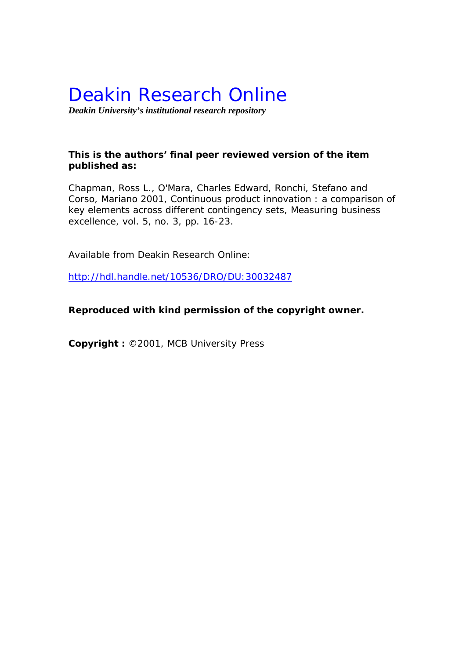# Deakin Research Online

*Deakin University's institutional research repository* 

## **This is the authors' final peer reviewed version of the item published as:**

Chapman, Ross L., O'Mara, Charles Edward, Ronchi, Stefano and Corso, Mariano 2001, Continuous product innovation : a comparison of key elements across different contingency sets*, Measuring business excellence*, vol. 5, no. 3, pp. 16-23.

Available from Deakin Research Online:

http://hdl.handle.net/10536/DRO/DU:30032487

## **Reproduced with kind permission of the copyright owner.**

**Copyright :** ©2001, MCB University Press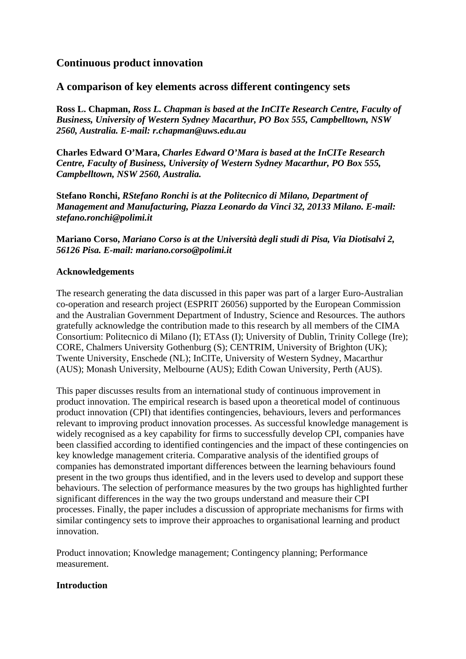## **Continuous product innovation**

## **A comparison of key elements across different contingency sets**

**Ross L. Chapman,** *Ross L. Chapman is based at the InCITe Research Centre, Faculty of Business, University of Western Sydney Macarthur, PO Box 555, Campbelltown, NSW 2560, Australia. E-mail: r.chapman@uws.edu.au*

**Charles Edward O'Mara,** *Charles Edward O'Mara is based at the InCITe Research Centre, Faculty of Business, University of Western Sydney Macarthur, PO Box 555, Campbelltown, NSW 2560, Australia.*

**Stefano Ronchi,** *RStefano Ronchi is at the Politecnico di Milano, Department of Management and Manufacturing, Piazza Leonardo da Vinci 32, 20133 Milano. E-mail: stefano.ronchi@polimi.it*

**Mariano Corso,** *Mariano Corso is at the Università degli studi di Pisa, Via Diotisalvi 2, 56126 Pisa. E-mail: mariano.corso@polimi.it*

#### **Acknowledgements**

The research generating the data discussed in this paper was part of a larger Euro-Australian co-operation and research project (ESPRIT 26056) supported by the European Commission and the Australian Government Department of Industry, Science and Resources. The authors gratefully acknowledge the contribution made to this research by all members of the CIMA Consortium: Politecnico di Milano (I); ETAss (I); University of Dublin, Trinity College (Ire); CORE, Chalmers University Gothenburg (S); CENTRIM, University of Brighton (UK); Twente University, Enschede (NL); InCITe, University of Western Sydney, Macarthur (AUS); Monash University, Melbourne (AUS); Edith Cowan University, Perth (AUS).

This paper discusses results from an international study of continuous improvement in product innovation. The empirical research is based upon a theoretical model of continuous product innovation (CPI) that identifies contingencies, behaviours, levers and performances relevant to improving product innovation processes. As successful knowledge management is widely recognised as a key capability for firms to successfully develop CPI, companies have been classified according to identified contingencies and the impact of these contingencies on key knowledge management criteria. Comparative analysis of the identified groups of companies has demonstrated important differences between the learning behaviours found present in the two groups thus identified, and in the levers used to develop and support these behaviours. The selection of performance measures by the two groups has highlighted further significant differences in the way the two groups understand and measure their CPI processes. Finally, the paper includes a discussion of appropriate mechanisms for firms with similar contingency sets to improve their approaches to organisational learning and product innovation.

Product innovation; Knowledge management; Contingency planning; Performance measurement.

## **Introduction**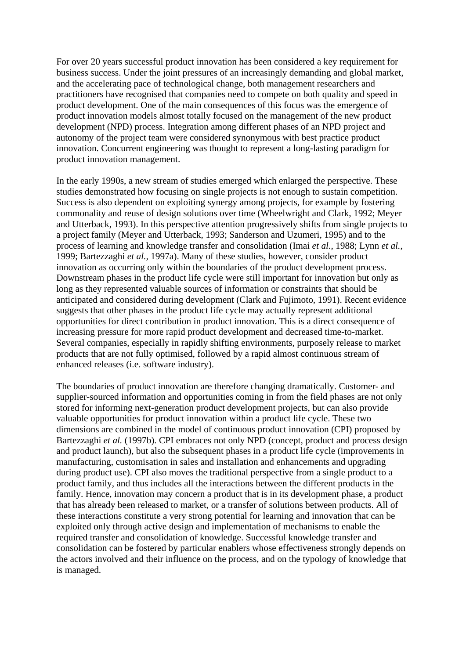For over 20 years successful product innovation has been considered a key requirement for business success. Under the joint pressures of an increasingly demanding and global market, and the accelerating pace of technological change, both management researchers and practitioners have recognised that companies need to compete on both quality and speed in product development. One of the main consequences of this focus was the emergence of product innovation models almost totally focused on the management of the new product development (NPD) process. Integration among different phases of an NPD project and autonomy of the project team were considered synonymous with best practice product innovation. Concurrent engineering was thought to represent a long-lasting paradigm for product innovation management.

In the early 1990s, a new stream of studies emerged which enlarged the perspective. These studies demonstrated how focusing on single projects is not enough to sustain competition. Success is also dependent on exploiting synergy among projects, for example by fostering commonality and reuse of design solutions over time (Wheelwright and Clark, 1992; Meyer and Utterback, 1993). In this perspective attention progressively shifts from single projects to a project family (Meyer and Utterback, 1993; Sanderson and Uzumeri, 1995) and to the process of learning and knowledge transfer and consolidation (Imai *et al.*, 1988; Lynn *et al.*, 1999; Bartezzaghi *et al.,* 1997a). Many of these studies, however, consider product innovation as occurring only within the boundaries of the product development process. Downstream phases in the product life cycle were still important for innovation but only as long as they represented valuable sources of information or constraints that should be anticipated and considered during development (Clark and Fujimoto, 1991). Recent evidence suggests that other phases in the product life cycle may actually represent additional opportunities for direct contribution in product innovation. This is a direct consequence of increasing pressure for more rapid product development and decreased time-to-market. Several companies, especially in rapidly shifting environments, purposely release to market products that are not fully optimised, followed by a rapid almost continuous stream of enhanced releases (i.e. software industry).

The boundaries of product innovation are therefore changing dramatically. Customer- and supplier-sourced information and opportunities coming in from the field phases are not only stored for informing next-generation product development projects, but can also provide valuable opportunities for product innovation within a product life cycle. These two dimensions are combined in the model of continuous product innovation (CPI) proposed by Bartezzaghi *et al.* (1997b). CPI embraces not only NPD (concept, product and process design and product launch), but also the subsequent phases in a product life cycle (improvements in manufacturing, customisation in sales and installation and enhancements and upgrading during product use). CPI also moves the traditional perspective from a single product to a product family, and thus includes all the interactions between the different products in the family. Hence, innovation may concern a product that is in its development phase, a product that has already been released to market, or a transfer of solutions between products. All of these interactions constitute a very strong potential for learning and innovation that can be exploited only through active design and implementation of mechanisms to enable the required transfer and consolidation of knowledge. Successful knowledge transfer and consolidation can be fostered by particular enablers whose effectiveness strongly depends on the actors involved and their influence on the process, and on the typology of knowledge that is managed.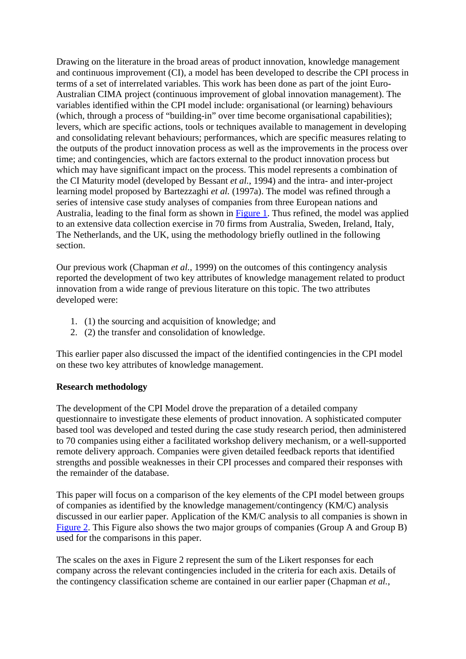Drawing on the literature in the broad areas of product innovation, knowledge management and continuous improvement (CI), a model has been developed to describe the CPI process in terms of a set of interrelated variables. This work has been done as part of the joint Euro-Australian CIMA project (continuous improvement of global innovation management). The variables identified within the CPI model include: organisational (or learning) behaviours (which, through a process of "building-in" over time become organisational capabilities); levers, which are specific actions, tools or techniques available to management in developing and consolidating relevant behaviours; performances, which are specific measures relating to the outputs of the product innovation process as well as the improvements in the process over time; and contingencies, which are factors external to the product innovation process but which may have significant impact on the process. This model represents a combination of the CI Maturity model (developed by Bessant *et al.*, 1994) and the intra- and inter-project learning model proposed by Bartezzaghi *et al.* (1997a). The model was refined through a series of intensive case study analyses of companies from three European nations and Australia, leading to the final form as shown in Figure 1. Thus refined, the model was applied to an extensive data collection exercise in 70 firms from Australia, Sweden, Ireland, Italy, The Netherlands, and the UK, using the methodology briefly outlined in the following section.

Our previous work (Chapman *et al.*, 1999) on the outcomes of this contingency analysis reported the development of two key attributes of knowledge management related to product innovation from a wide range of previous literature on this topic. The two attributes developed were:

- 1. (1) the sourcing and acquisition of knowledge; and
- 2. (2) the transfer and consolidation of knowledge.

This earlier paper also discussed the impact of the identified contingencies in the CPI model on these two key attributes of knowledge management.

#### **Research methodology**

The development of the CPI Model drove the preparation of a detailed company questionnaire to investigate these elements of product innovation. A sophisticated computer based tool was developed and tested during the case study research period, then administered to 70 companies using either a facilitated workshop delivery mechanism, or a well-supported remote delivery approach. Companies were given detailed feedback reports that identified strengths and possible weaknesses in their CPI processes and compared their responses with the remainder of the database.

This paper will focus on a comparison of the key elements of the CPI model between groups of companies as identified by the knowledge management/contingency (KM/C) analysis discussed in our earlier paper. Application of the KM/C analysis to all companies is shown in Figure 2. This Figure also shows the two major groups of companies (Group A and Group B) used for the comparisons in this paper.

The scales on the axes in Figure 2 represent the sum of the Likert responses for each company across the relevant contingencies included in the criteria for each axis. Details of the contingency classification scheme are contained in our earlier paper (Chapman *et al.*,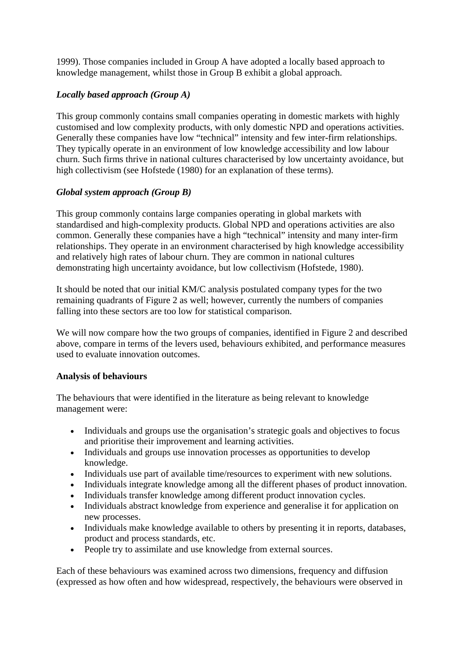1999). Those companies included in Group A have adopted a locally based approach to knowledge management, whilst those in Group B exhibit a global approach.

## *Locally based approach (Group A)*

This group commonly contains small companies operating in domestic markets with highly customised and low complexity products, with only domestic NPD and operations activities. Generally these companies have low "technical" intensity and few inter-firm relationships. They typically operate in an environment of low knowledge accessibility and low labour churn. Such firms thrive in national cultures characterised by low uncertainty avoidance, but high collectivism (see Hofstede (1980) for an explanation of these terms).

## *Global system approach (Group B)*

This group commonly contains large companies operating in global markets with standardised and high-complexity products. Global NPD and operations activities are also common. Generally these companies have a high "technical" intensity and many inter-firm relationships. They operate in an environment characterised by high knowledge accessibility and relatively high rates of labour churn. They are common in national cultures demonstrating high uncertainty avoidance, but low collectivism (Hofstede, 1980).

It should be noted that our initial KM/C analysis postulated company types for the two remaining quadrants of Figure 2 as well; however, currently the numbers of companies falling into these sectors are too low for statistical comparison.

We will now compare how the two groups of companies, identified in Figure 2 and described above, compare in terms of the levers used, behaviours exhibited, and performance measures used to evaluate innovation outcomes.

## **Analysis of behaviours**

The behaviours that were identified in the literature as being relevant to knowledge management were:

- Individuals and groups use the organisation's strategic goals and objectives to focus and prioritise their improvement and learning activities.
- Individuals and groups use innovation processes as opportunities to develop knowledge.
- Individuals use part of available time/resources to experiment with new solutions.
- Individuals integrate knowledge among all the different phases of product innovation.
- Individuals transfer knowledge among different product innovation cycles.
- Individuals abstract knowledge from experience and generalise it for application on new processes.
- Individuals make knowledge available to others by presenting it in reports, databases, product and process standards, etc.
- People try to assimilate and use knowledge from external sources.

Each of these behaviours was examined across two dimensions, frequency and diffusion (expressed as how often and how widespread, respectively, the behaviours were observed in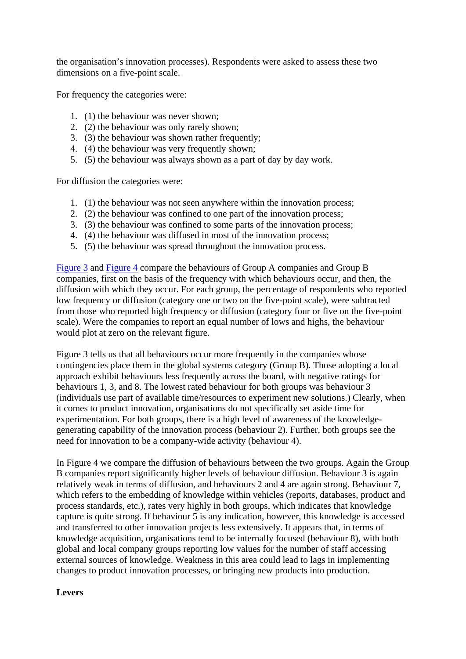the organisation's innovation processes). Respondents were asked to assess these two dimensions on a five-point scale.

For frequency the categories were:

- 1. (1) the behaviour was never shown;
- 2. (2) the behaviour was only rarely shown;
- 3. (3) the behaviour was shown rather frequently;
- 4. (4) the behaviour was very frequently shown;
- 5. (5) the behaviour was always shown as a part of day by day work.

For diffusion the categories were:

- 1. (1) the behaviour was not seen anywhere within the innovation process;
- 2. (2) the behaviour was confined to one part of the innovation process;
- 3. (3) the behaviour was confined to some parts of the innovation process;
- 4. (4) the behaviour was diffused in most of the innovation process;
- 5. (5) the behaviour was spread throughout the innovation process.

Figure 3 and Figure 4 compare the behaviours of Group A companies and Group B companies, first on the basis of the frequency with which behaviours occur, and then, the diffusion with which they occur. For each group, the percentage of respondents who reported low frequency or diffusion (category one or two on the five-point scale), were subtracted from those who reported high frequency or diffusion (category four or five on the five-point scale). Were the companies to report an equal number of lows and highs, the behaviour would plot at zero on the relevant figure.

Figure 3 tells us that all behaviours occur more frequently in the companies whose contingencies place them in the global systems category (Group B). Those adopting a local approach exhibit behaviours less frequently across the board, with negative ratings for behaviours 1, 3, and 8. The lowest rated behaviour for both groups was behaviour 3 (individuals use part of available time/resources to experiment new solutions.) Clearly, when it comes to product innovation, organisations do not specifically set aside time for experimentation. For both groups, there is a high level of awareness of the knowledgegenerating capability of the innovation process (behaviour 2). Further, both groups see the need for innovation to be a company-wide activity (behaviour 4).

In Figure 4 we compare the diffusion of behaviours between the two groups. Again the Group B companies report significantly higher levels of behaviour diffusion. Behaviour 3 is again relatively weak in terms of diffusion, and behaviours 2 and 4 are again strong. Behaviour 7, which refers to the embedding of knowledge within vehicles (reports, databases, product and process standards, etc.), rates very highly in both groups, which indicates that knowledge capture is quite strong. If behaviour 5 is any indication, however, this knowledge is accessed and transferred to other innovation projects less extensively. It appears that, in terms of knowledge acquisition, organisations tend to be internally focused (behaviour 8), with both global and local company groups reporting low values for the number of staff accessing external sources of knowledge. Weakness in this area could lead to lags in implementing changes to product innovation processes, or bringing new products into production.

## **Levers**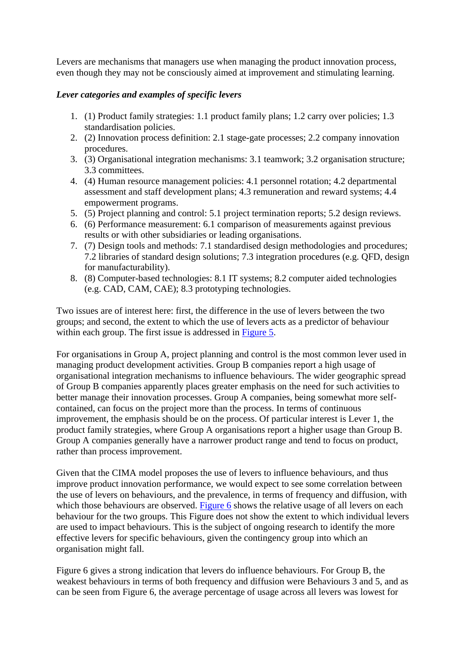Levers are mechanisms that managers use when managing the product innovation process, even though they may not be consciously aimed at improvement and stimulating learning.

## *Lever categories and examples of specific levers*

- 1. (1) Product family strategies: 1.1 product family plans; 1.2 carry over policies; 1.3 standardisation policies.
- 2. (2) Innovation process definition: 2.1 stage-gate processes; 2.2 company innovation procedures.
- 3. (3) Organisational integration mechanisms: 3.1 teamwork; 3.2 organisation structure; 3.3 committees.
- 4. (4) Human resource management policies: 4.1 personnel rotation; 4.2 departmental assessment and staff development plans; 4.3 remuneration and reward systems; 4.4 empowerment programs.
- 5. (5) Project planning and control: 5.1 project termination reports; 5.2 design reviews.
- 6. (6) Performance measurement: 6.1 comparison of measurements against previous results or with other subsidiaries or leading organisations.
- 7. (7) Design tools and methods: 7.1 standardised design methodologies and procedures; 7.2 libraries of standard design solutions; 7.3 integration procedures (e.g. QFD, design for manufacturability).
- 8. (8) Computer-based technologies: 8.1 IT systems; 8.2 computer aided technologies (e.g. CAD, CAM, CAE); 8.3 prototyping technologies.

Two issues are of interest here: first, the difference in the use of levers between the two groups; and second, the extent to which the use of levers acts as a predictor of behaviour within each group. The first issue is addressed in Figure 5.

For organisations in Group A, project planning and control is the most common lever used in managing product development activities. Group B companies report a high usage of organisational integration mechanisms to influence behaviours. The wider geographic spread of Group B companies apparently places greater emphasis on the need for such activities to better manage their innovation processes. Group A companies, being somewhat more selfcontained, can focus on the project more than the process. In terms of continuous improvement, the emphasis should be on the process. Of particular interest is Lever 1, the product family strategies, where Group A organisations report a higher usage than Group B. Group A companies generally have a narrower product range and tend to focus on product, rather than process improvement.

Given that the CIMA model proposes the use of levers to influence behaviours, and thus improve product innovation performance, we would expect to see some correlation between the use of levers on behaviours, and the prevalence, in terms of frequency and diffusion, with which those behaviours are observed. Figure 6 shows the relative usage of all levers on each behaviour for the two groups. This Figure does not show the extent to which individual levers are used to impact behaviours. This is the subject of ongoing research to identify the more effective levers for specific behaviours, given the contingency group into which an organisation might fall.

Figure 6 gives a strong indication that levers do influence behaviours. For Group B, the weakest behaviours in terms of both frequency and diffusion were Behaviours 3 and 5, and as can be seen from Figure 6, the average percentage of usage across all levers was lowest for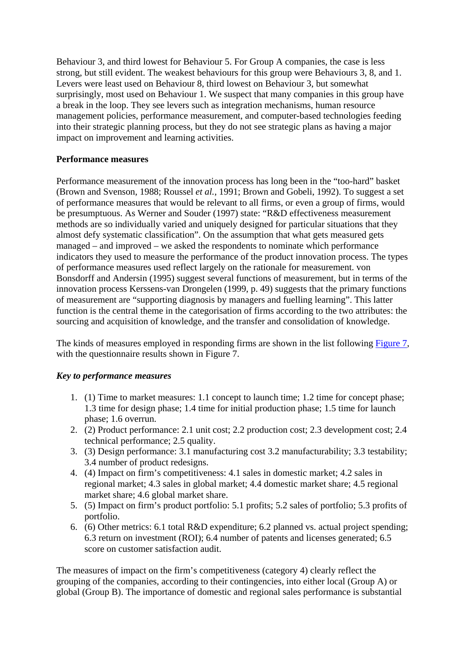Behaviour 3, and third lowest for Behaviour 5. For Group A companies, the case is less strong, but still evident. The weakest behaviours for this group were Behaviours 3, 8, and 1. Levers were least used on Behaviour 8, third lowest on Behaviour 3, but somewhat surprisingly, most used on Behaviour 1. We suspect that many companies in this group have a break in the loop. They see levers such as integration mechanisms, human resource management policies, performance measurement, and computer-based technologies feeding into their strategic planning process, but they do not see strategic plans as having a major impact on improvement and learning activities.

### **Performance measures**

Performance measurement of the innovation process has long been in the "too-hard" basket (Brown and Svenson, 1988; Roussel *et al.*, 1991; Brown and Gobeli, 1992). To suggest a set of performance measures that would be relevant to all firms, or even a group of firms, would be presumptuous. As Werner and Souder (1997) state: "R&D effectiveness measurement methods are so individually varied and uniquely designed for particular situations that they almost defy systematic classification". On the assumption that what gets measured gets managed – and improved – we asked the respondents to nominate which performance indicators they used to measure the performance of the product innovation process. The types of performance measures used reflect largely on the rationale for measurement. von Bonsdorff and Andersin (1995) suggest several functions of measurement, but in terms of the innovation process Kerssens-van Drongelen (1999, p. 49) suggests that the primary functions of measurement are "supporting diagnosis by managers and fuelling learning". This latter function is the central theme in the categorisation of firms according to the two attributes: the sourcing and acquisition of knowledge, and the transfer and consolidation of knowledge.

The kinds of measures employed in responding firms are shown in the list following Figure 7, with the questionnaire results shown in Figure 7.

## *Key to performance measures*

- 1. (1) Time to market measures: 1.1 concept to launch time; 1.2 time for concept phase; 1.3 time for design phase; 1.4 time for initial production phase; 1.5 time for launch phase; 1.6 overrun.
- 2. (2) Product performance: 2.1 unit cost; 2.2 production cost; 2.3 development cost; 2.4 technical performance; 2.5 quality.
- 3. (3) Design performance: 3.1 manufacturing cost 3.2 manufacturability; 3.3 testability; 3.4 number of product redesigns.
- 4. (4) Impact on firm's competitiveness: 4.1 sales in domestic market; 4.2 sales in regional market; 4.3 sales in global market; 4.4 domestic market share; 4.5 regional market share; 4.6 global market share.
- 5. (5) Impact on firm's product portfolio: 5.1 profits; 5.2 sales of portfolio; 5.3 profits of portfolio.
- 6. (6) Other metrics: 6.1 total R&D expenditure; 6.2 planned vs. actual project spending; 6.3 return on investment (ROI); 6.4 number of patents and licenses generated; 6.5 score on customer satisfaction audit.

The measures of impact on the firm's competitiveness (category 4) clearly reflect the grouping of the companies, according to their contingencies, into either local (Group A) or global (Group B). The importance of domestic and regional sales performance is substantial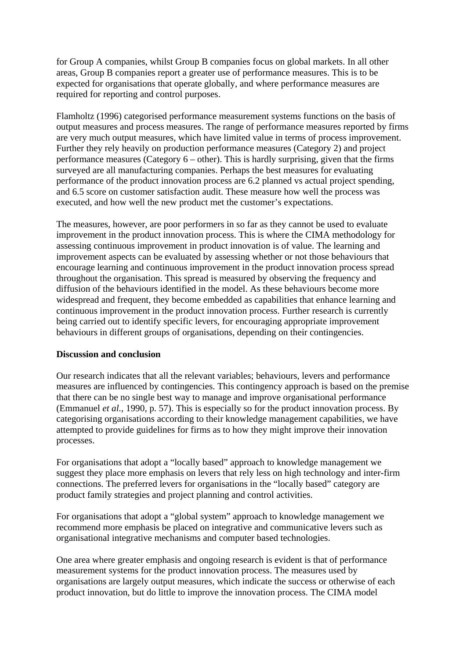for Group A companies, whilst Group B companies focus on global markets. In all other areas, Group B companies report a greater use of performance measures. This is to be expected for organisations that operate globally, and where performance measures are required for reporting and control purposes.

Flamholtz (1996) categorised performance measurement systems functions on the basis of output measures and process measures. The range of performance measures reported by firms are very much output measures, which have limited value in terms of process improvement. Further they rely heavily on production performance measures (Category 2) and project performance measures (Category 6 – other). This is hardly surprising, given that the firms surveyed are all manufacturing companies. Perhaps the best measures for evaluating performance of the product innovation process are 6.2 planned vs actual project spending, and 6.5 score on customer satisfaction audit. These measure how well the process was executed, and how well the new product met the customer's expectations.

The measures, however, are poor performers in so far as they cannot be used to evaluate improvement in the product innovation process. This is where the CIMA methodology for assessing continuous improvement in product innovation is of value. The learning and improvement aspects can be evaluated by assessing whether or not those behaviours that encourage learning and continuous improvement in the product innovation process spread throughout the organisation. This spread is measured by observing the frequency and diffusion of the behaviours identified in the model. As these behaviours become more widespread and frequent, they become embedded as capabilities that enhance learning and continuous improvement in the product innovation process. Further research is currently being carried out to identify specific levers, for encouraging appropriate improvement behaviours in different groups of organisations, depending on their contingencies.

#### **Discussion and conclusion**

Our research indicates that all the relevant variables; behaviours, levers and performance measures are influenced by contingencies. This contingency approach is based on the premise that there can be no single best way to manage and improve organisational performance (Emmanuel *et al.*, 1990, p. 57). This is especially so for the product innovation process. By categorising organisations according to their knowledge management capabilities, we have attempted to provide guidelines for firms as to how they might improve their innovation processes.

For organisations that adopt a "locally based" approach to knowledge management we suggest they place more emphasis on levers that rely less on high technology and inter-firm connections. The preferred levers for organisations in the "locally based" category are product family strategies and project planning and control activities.

For organisations that adopt a "global system" approach to knowledge management we recommend more emphasis be placed on integrative and communicative levers such as organisational integrative mechanisms and computer based technologies.

One area where greater emphasis and ongoing research is evident is that of performance measurement systems for the product innovation process. The measures used by organisations are largely output measures, which indicate the success or otherwise of each product innovation, but do little to improve the innovation process. The CIMA model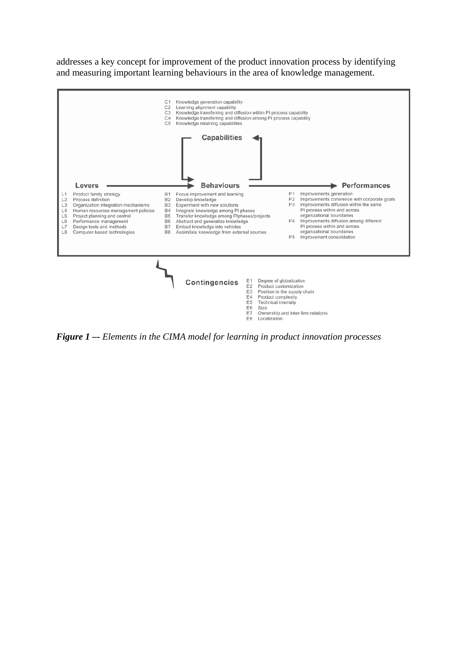addresses a key concept for improvement of the product innovation process by identifying and measuring important learning behaviours in the area of knowledge management.



*Figure 1 –- Elements in the CIMA model for learning in product innovation processes*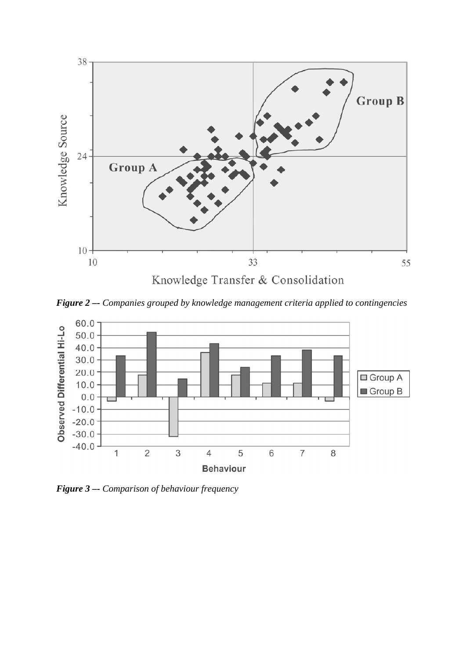

*Figure 2 –- Companies grouped by knowledge management criteria applied to contingencies*



*Figure 3 –- Comparison of behaviour frequency*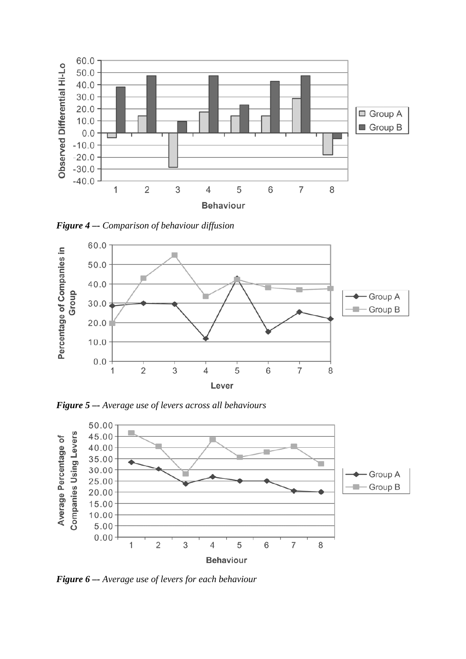

*Figure 4 –- Comparison of behaviour diffusion*



*Figure 5 –- Average use of levers across all behaviours*



*Figure 6 –- Average use of levers for each behaviour*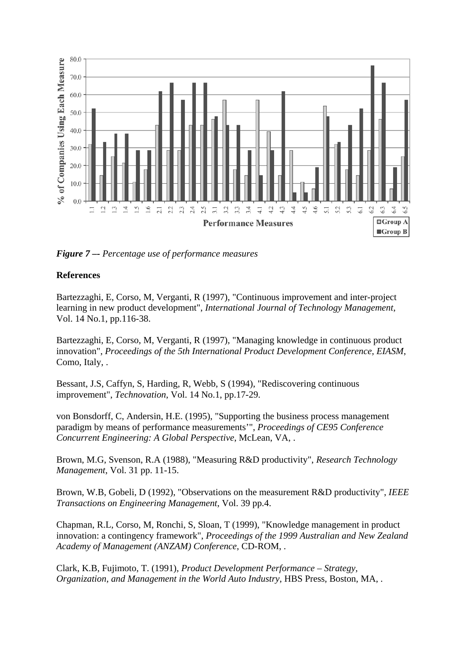

*Figure 7 –- Percentage use of performance measures*

### **References**

Bartezzaghi, E, Corso, M, Verganti, R (1997), "Continuous improvement and inter-project learning in new product development", *International Journal of Technology Management*, Vol. 14 No.1, pp.116-38.

Bartezzaghi, E, Corso, M, Verganti, R (1997), "Managing knowledge in continuous product innovation", *Proceedings of the 5th International Product Development Conference, EIASM*, Como, Italy, .

Bessant, J.S, Caffyn, S, Harding, R, Webb, S (1994), "Rediscovering continuous improvement", *Technovation*, Vol. 14 No.1, pp.17-29.

von Bonsdorff, C, Andersin, H.E. (1995), "Supporting the business process management paradigm by means of performance measurements'", *Proceedings of CE95 Conference Concurrent Engineering: A Global Perspective*, McLean, VA, .

Brown, M.G, Svenson, R.A (1988), "Measuring R&D productivity", *Research Technology Management*, Vol. 31 pp. 11-15.

Brown, W.B, Gobeli, D (1992), "Observations on the measurement R&D productivity", *IEEE Transactions on Engineering Management*, Vol. 39 pp.4.

Chapman, R.L, Corso, M, Ronchi, S, Sloan, T (1999), "Knowledge management in product innovation: a contingency framework", *Proceedings of the 1999 Australian and New Zealand Academy of Management (ANZAM) Conference*, CD-ROM, .

Clark, K.B, Fujimoto, T. (1991), *Product Development Performance – Strategy, Organization, and Management in the World Auto Industry*, HBS Press, Boston, MA, .